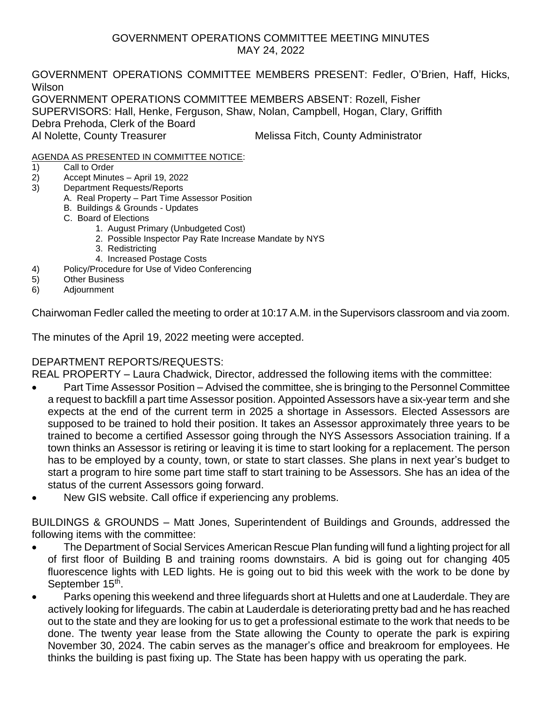#### GOVERNMENT OPERATIONS COMMITTEE MEETING MINUTES MAY 24, 2022

GOVERNMENT OPERATIONS COMMITTEE MEMBERS PRESENT: Fedler, O'Brien, Haff, Hicks, Wilson GOVERNMENT OPERATIONS COMMITTEE MEMBERS ABSENT: Rozell, Fisher

SUPERVISORS: Hall, Henke, Ferguson, Shaw, Nolan, Campbell, Hogan, Clary, Griffith

Debra Prehoda, Clerk of the Board

Al Nolette, County Treasurer Melissa Fitch, County Administrator

### AGENDA AS PRESENTED IN COMMITTEE NOTICE:

- 1) Call to Order
- 2) Accept Minutes April 19, 2022
- 3) Department Requests/Reports
	- A. Real Property Part Time Assessor Position
		- B. Buildings & Grounds Updates
		- C. Board of Elections
			- 1. August Primary (Unbudgeted Cost)
				- 2. Possible Inspector Pay Rate Increase Mandate by NYS
				- 3. Redistricting
				- 4. Increased Postage Costs
- 4) Policy/Procedure for Use of Video Conferencing
- 5) Other Business
- 6) Adjournment

Chairwoman Fedler called the meeting to order at 10:17 A.M. in the Supervisors classroom and via zoom.

The minutes of the April 19, 2022 meeting were accepted.

# DEPARTMENT REPORTS/REQUESTS:

REAL PROPERTY – Laura Chadwick, Director, addressed the following items with the committee:

- Part Time Assessor Position Advised the committee, she is bringing to the Personnel Committee a request to backfill a part time Assessor position. Appointed Assessors have a six-year term and she expects at the end of the current term in 2025 a shortage in Assessors. Elected Assessors are supposed to be trained to hold their position. It takes an Assessor approximately three years to be trained to become a certified Assessor going through the NYS Assessors Association training. If a town thinks an Assessor is retiring or leaving it is time to start looking for a replacement. The person has to be employed by a county, town, or state to start classes. She plans in next year's budget to start a program to hire some part time staff to start training to be Assessors. She has an idea of the status of the current Assessors going forward.
- New GIS website. Call office if experiencing any problems.

BUILDINGS & GROUNDS – Matt Jones, Superintendent of Buildings and Grounds, addressed the following items with the committee:

- The Department of Social Services American Rescue Plan funding will fund a lighting project for all of first floor of Building B and training rooms downstairs. A bid is going out for changing 405 fluorescence lights with LED lights. He is going out to bid this week with the work to be done by September 15<sup>th</sup>.
- Parks opening this weekend and three lifeguards short at Huletts and one at Lauderdale. They are actively looking for lifeguards. The cabin at Lauderdale is deteriorating pretty bad and he has reached out to the state and they are looking for us to get a professional estimate to the work that needs to be done. The twenty year lease from the State allowing the County to operate the park is expiring November 30, 2024. The cabin serves as the manager's office and breakroom for employees. He thinks the building is past fixing up. The State has been happy with us operating the park.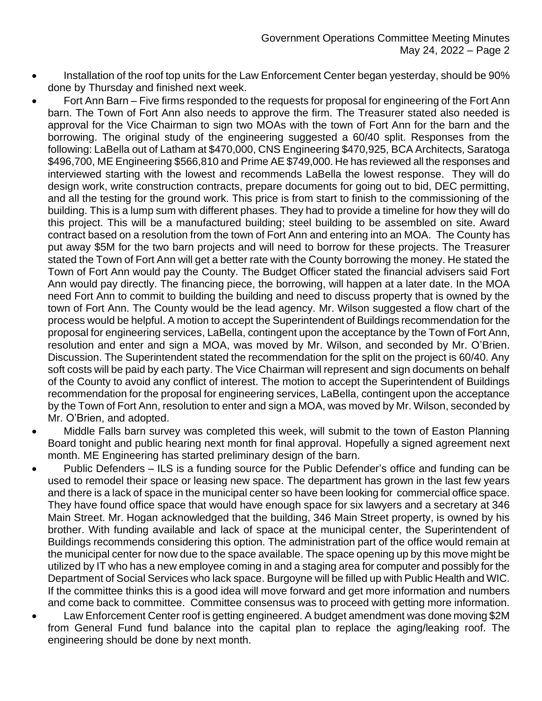- Installation of the roof top units for the Law Enforcement Center began yesterday, should be 90% done by Thursday and finished next week.
- Fort Ann Barn Five firms responded to the requests for proposal for engineering of the Fort Ann barn. The Town of Fort Ann also needs to approve the firm. The Treasurer stated also needed is approval for the Vice Chairman to sign two MOAs with the town of Fort Ann for the barn and the borrowing. The original study of the engineering suggested a 60/40 split. Responses from the following: LaBella out of Latham at \$470,000, CNS Engineering \$470,925, BCA Architects, Saratoga \$496,700, ME Engineering \$566,810 and Prime AE \$749,000. He has reviewed all the responses and interviewed starting with the lowest and recommends LaBella the lowest response. They will do design work, write construction contracts, prepare documents for going out to bid, DEC permitting, and all the testing for the ground work. This price is from start to finish to the commissioning of the building. This is a lump sum with different phases. They had to provide a timeline for how they will do this project. This will be a manufactured building; steel building to be assembled on site. Award contract based on a resolution from the town of Fort Ann and entering into an MOA. The County has put away \$5M for the two barn projects and will need to borrow for these projects. The Treasurer stated the Town of Fort Ann will get a better rate with the County borrowing the money. He stated the Town of Fort Ann would pay the County. The Budget Officer stated the financial advisers said Fort Ann would pay directly. The financing piece, the borrowing, will happen at a later date. In the MOA need Fort Ann to commit to building the building and need to discuss property that is owned by the town of Fort Ann. The County would be the lead agency. Mr. Wilson suggested a flow chart of the process would be helpful. A motion to accept the Superintendent of Buildings recommendation for the proposal for engineering services, LaBella, contingent upon the acceptance by the Town of Fort Ann, resolution and enter and sign a MOA, was moved by Mr. Wilson, and seconded by Mr. O'Brien. Discussion. The Superintendent stated the recommendation for the split on the project is 60/40. Any soft costs will be paid by each party. The Vice Chairman will represent and sign documents on behalf of the County to avoid any conflict of interest. The motion to accept the Superintendent of Buildings recommendation for the proposal for engineering services, LaBella, contingent upon the acceptance by the Town of Fort Ann, resolution to enter and sign a MOA, was moved by Mr. Wilson, seconded by Mr. O'Brien, and adopted.
- Middle Falls barn survey was completed this week, will submit to the town of Easton Planning Board tonight and public hearing next month for final approval. Hopefully a signed agreement next month. ME Engineering has started preliminary design of the barn.
- Public Defenders ILS is a funding source for the Public Defender's office and funding can be used to remodel their space or leasing new space. The department has grown in the last few years and there is a lack of space in the municipal center so have been looking for commercial office space. They have found office space that would have enough space for six lawyers and a secretary at 346 Main Street. Mr. Hogan acknowledged that the building, 346 Main Street property, is owned by his brother. With funding available and lack of space at the municipal center, the Superintendent of Buildings recommends considering this option. The administration part of the office would remain at the municipal center for now due to the space available. The space opening up by this move might be utilized by IT who has a new employee coming in and a staging area for computer and possibly for the Department of Social Services who lack space. Burgoyne will be filled up with Public Health and WIC. If the committee thinks this is a good idea will move forward and get more information and numbers and come back to committee. Committee consensus was to proceed with getting more information.
- Law Enforcement Center roof is getting engineered. A budget amendment was done moving \$2M from General Fund fund balance into the capital plan to replace the aging/leaking roof. The engineering should be done by next month.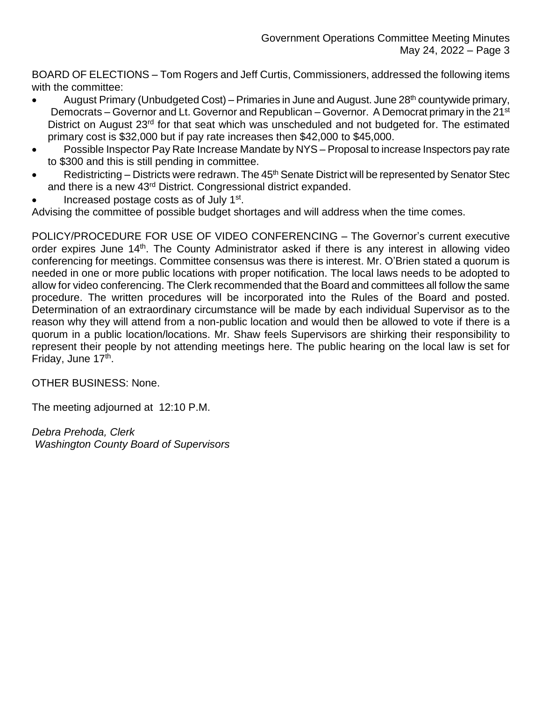BOARD OF ELECTIONS – Tom Rogers and Jeff Curtis, Commissioners, addressed the following items with the committee:

- August Primary (Unbudgeted Cost) Primaries in June and August. June  $28<sup>th</sup>$  countywide primary, Democrats – Governor and Lt. Governor and Republican – Governor. A Democrat primary in the 21<sup>st</sup> District on August 23<sup>rd</sup> for that seat which was unscheduled and not budgeted for. The estimated primary cost is \$32,000 but if pay rate increases then \$42,000 to \$45,000.
- Possible Inspector Pay Rate Increase Mandate by NYS Proposal to increase Inspectors pay rate to \$300 and this is still pending in committee.
- Redistricting Districts were redrawn. The 45<sup>th</sup> Senate District will be represented by Senator Stec and there is a new 43rd District. Congressional district expanded.
- Increased postage costs as of July 1<sup>st</sup>.

Advising the committee of possible budget shortages and will address when the time comes.

POLICY/PROCEDURE FOR USE OF VIDEO CONFERENCING – The Governor's current executive order expires June 14<sup>th</sup>. The County Administrator asked if there is any interest in allowing video conferencing for meetings. Committee consensus was there is interest. Mr. O'Brien stated a quorum is needed in one or more public locations with proper notification. The local laws needs to be adopted to allow for video conferencing. The Clerk recommended that the Board and committees all follow the same procedure. The written procedures will be incorporated into the Rules of the Board and posted. Determination of an extraordinary circumstance will be made by each individual Supervisor as to the reason why they will attend from a non-public location and would then be allowed to vote if there is a quorum in a public location/locations. Mr. Shaw feels Supervisors are shirking their responsibility to represent their people by not attending meetings here. The public hearing on the local law is set for Friday, June 17<sup>th</sup>.

OTHER BUSINESS: None.

The meeting adjourned at 12:10 P.M.

*Debra Prehoda, Clerk Washington County Board of Supervisors*